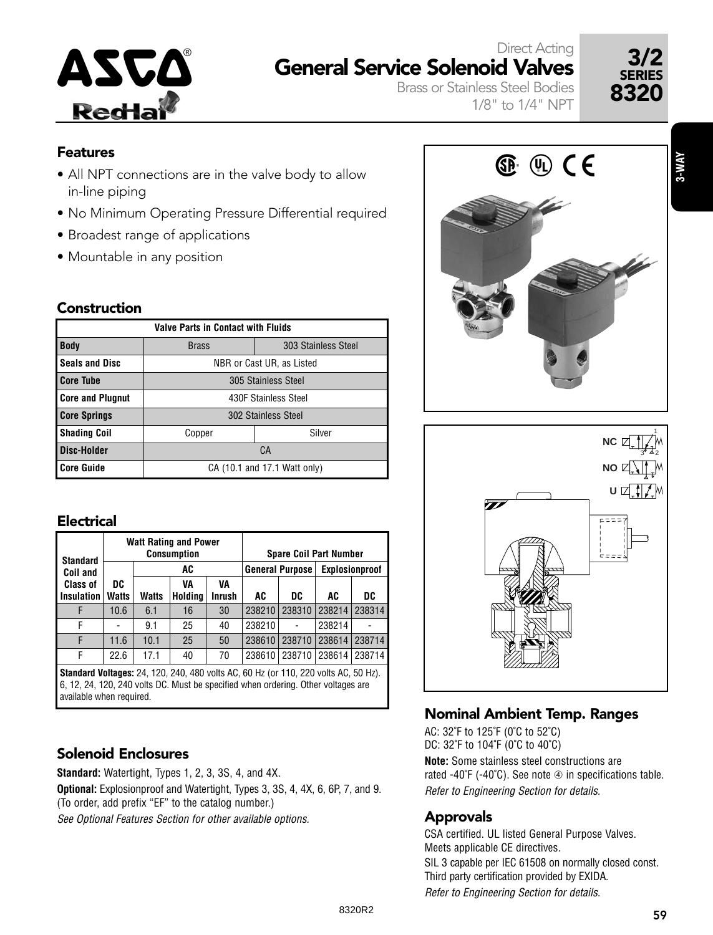# **Redia**

#### ASCO<sup>®</sup> General Service Solenoid Valves 3/2 Direct Acting



Brass or Stainless Steel Bodies 1/8" to 1/4" NPT

#### Features

- All NPT connections are in the valve body to allow in-line piping
- No Minimum Operating Pressure Differential required
- Broadest range of applications
- Mountable in any position

#### Construction

| <b>Valve Parts in Contact with Fluids</b> |                      |                              |  |  |  |  |  |  |  |  |  |  |
|-------------------------------------------|----------------------|------------------------------|--|--|--|--|--|--|--|--|--|--|
| <b>Body</b>                               | <b>Brass</b>         | 303 Stainless Steel          |  |  |  |  |  |  |  |  |  |  |
| <b>Seals and Disc</b>                     |                      | NBR or Cast UR, as Listed    |  |  |  |  |  |  |  |  |  |  |
| <b>Core Tube</b>                          | 305 Stainless Steel  |                              |  |  |  |  |  |  |  |  |  |  |
| <b>Core and Plugnut</b>                   | 430F Stainless Steel |                              |  |  |  |  |  |  |  |  |  |  |
| <b>Core Springs</b>                       | 302 Stainless Steel  |                              |  |  |  |  |  |  |  |  |  |  |
| <b>Shading Coil</b>                       | Copper               | Silver                       |  |  |  |  |  |  |  |  |  |  |
| Disc-Holder                               |                      | СA                           |  |  |  |  |  |  |  |  |  |  |
| <b>Core Guide</b>                         |                      | CA (10.1 and 17.1 Watt only) |  |  |  |  |  |  |  |  |  |  |

#### Electrical

| <b>Standard</b>   |              |       | <b>Watt Rating and Power</b><br><b>Consumption</b> |        | <b>Spare Coil Part Number</b> |                 |                |        |  |  |
|-------------------|--------------|-------|----------------------------------------------------|--------|-------------------------------|-----------------|----------------|--------|--|--|
| Coil and          |              |       | AC                                                 |        |                               | General Purpose | Explosionproof |        |  |  |
| <b>Class of</b>   | DC           |       | VA<br>VA                                           |        |                               |                 |                |        |  |  |
| <b>Insulation</b> | <b>Watts</b> | Watts | Holding                                            | Inrush | AC                            | DC              | AC             | DC     |  |  |
|                   | 10.6         | 6.1   | 16                                                 | 30     | 238210                        | 238310          | 238214         | 238314 |  |  |
| F                 |              | 9.1   | 25                                                 | 40     | 238210                        |                 | 238214         |        |  |  |
| F                 | 11.6         | 10.1  | 25                                                 | 50     | 238610                        | 238710          | 238614         | 238714 |  |  |
| F                 | 22.6         | 17.1  | 40                                                 | 70     | 238610                        | 238710          | 238614         | 238714 |  |  |

**Standard Voltages:** 24, 120, 240, 480 volts AC, 60 Hz (or 110, 220 volts AC, 50 Hz). 6, 12, 24, 120, 240 volts DC. Must be specified when ordering. Other voltages are available when required.

#### Solenoid Enclosures

**Standard:** Watertight, Types 1, 2, 3, 3S, 4, and 4X. **Optional:** Explosionproof and Watertight, Types 3, 3S, 4, 4X, 6, 6P, 7, and 9. (To order, add prefix "EF" to the catalog number.) See Optional Features Section for other available options.





#### Nominal Ambient Temp. Ranges

AC: 32˚F to 125˚F (0˚C to 52˚C) DC: 32˚F to 104˚F (0˚C to 40˚C) **Note:** Some stainless steel constructions are rated -40 $\degree$ F (-40 $\degree$ C). See note  $\degree$  in specifications table. Refer to Engineering Section for details.

#### Approvals

CSA certified. UL listed General Purpose Valves. Meets applicable CE directives.

SIL 3 capable per IEC 61508 on normally closed const. Third party certification provided by EXIDA.

Refer to Engineering Section for details.

**3-WAY**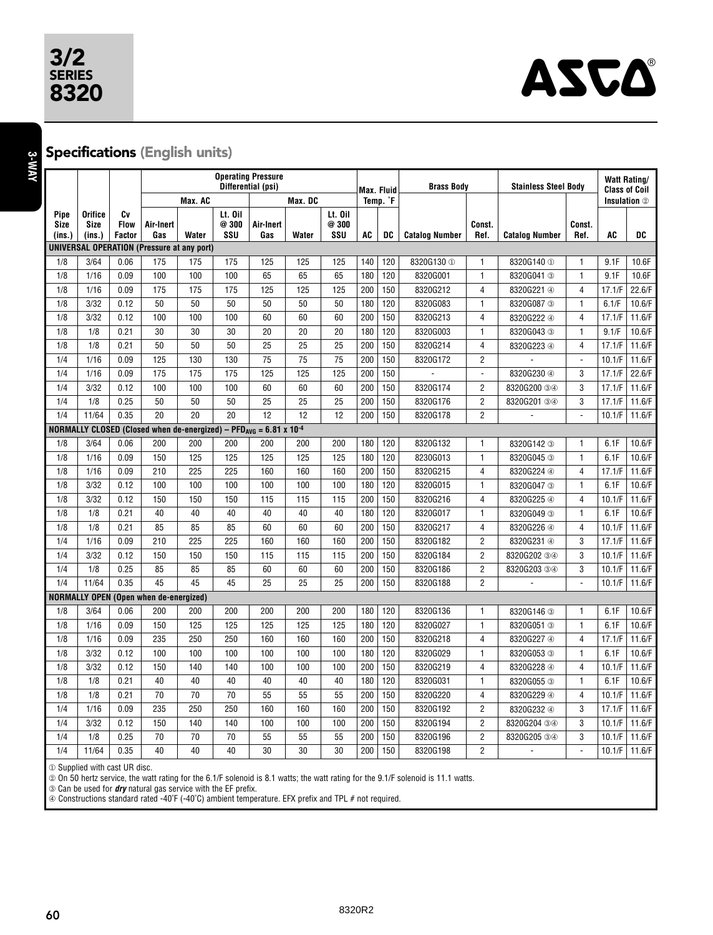## 3/2 SERIES



**3-WAY**

#### Specifications (English units)

|              |                        |                   | <b>Operating Pressure</b><br>Differential (psi)          |         |                  |                                                                                           |                 |                 | Max. Fluid |                      | <b>Brass Body</b>     |                | <b>Stainless Steel Body</b> |                          | <b>Watt Rating/</b><br><b>Class of Coil</b> |        |
|--------------|------------------------|-------------------|----------------------------------------------------------|---------|------------------|-------------------------------------------------------------------------------------------|-----------------|-----------------|------------|----------------------|-----------------------|----------------|-----------------------------|--------------------------|---------------------------------------------|--------|
|              |                        |                   |                                                          | Max. AC |                  |                                                                                           | Max. DC         |                 |            | Temp. <sup>°</sup> F |                       |                |                             |                          | Insulation 2                                |        |
| Pipe<br>Size | Orifice<br><b>Size</b> | Cv<br><b>Flow</b> | Air-Inert                                                |         | Lt. Oil<br>@ 300 | Air-Inert                                                                                 |                 | Lt. Oil<br>@300 |            |                      |                       | Const.         |                             | Const.                   |                                             |        |
| $ins.$ )     | (ins.)                 | <b>Factor</b>     | Gas<br><b>UNIVERSAL OPERATION (Pressure at any port)</b> | Water   | SSU              | Gas                                                                                       | Water           | SSU             | <b>AC</b>  | DC                   | <b>Catalog Number</b> | Ref.           | <b>Catalog Number</b>       | Ref.                     | <b>AC</b>                                   | DC     |
| 1/8          | 3/64                   | 0.06              | 175                                                      | 175     | 175              | 125                                                                                       | 125             | 125             | 140        | 120                  | 8320G130 1            | $\mathbf{1}$   | 8320G140 ①                  | 1                        | 9.1F                                        | 10.6F  |
| 1/8          | 1/16                   | 0.09              | 100                                                      | 100     | 100              | 65                                                                                        | 65              | 65              | 180        | 120                  | 8320G001              | $\mathbf{1}$   | 8320G041 3                  | $\mathbf{1}$             | 9.1F                                        | 10.6F  |
| 1/8          | 1/16                   | 0.09              | 175                                                      | 175     | 175              | 125                                                                                       | 125             | 125             | 200        | 150                  |                       | 4              |                             | 4                        | 17.1/F                                      | 22.6/F |
| 1/8          | 3/32                   | 0.12              | 50                                                       | 50      | 50               | 50                                                                                        | 50              | 50              | 180        | 120                  | 8320G212<br>8320G083  | $\mathbf{1}$   | 8320G221 4                  | 1                        | 6.1/F                                       | 10.6/F |
| 1/8          | 3/32                   | 0.12              | 100                                                      | 100     | 100              | 60                                                                                        | 60              | 60              | 200        | 150                  | 8320G213              | 4              | 8320G087 3<br>8320G222 4    | $\overline{4}$           | 17.1/F                                      | 11.6/F |
| 1/8          | 1/8                    | 0.21              | 30                                                       | 30      | 30               | 20                                                                                        | 20              | 20              | 180        | 120                  | 8320G003              | $\mathbf{1}$   |                             | 1                        | 9.1/F                                       | 10.6/F |
| 1/8          | 1/8                    | 0.21              | 50                                                       | 50      | 50               | 25                                                                                        | 25              | 25              | 200        | 150                  | 8320G214              | $\overline{4}$ | 8320G043 3                  | $\overline{4}$           | 17.1/F                                      | 11.6/F |
| 1/4          | 1/16                   | 0.09              | 125                                                      | 130     | 130              | 75                                                                                        | $\overline{75}$ | $\overline{75}$ | 200        | 150                  | 8320G172              | $\overline{c}$ | 8320G223 4                  | $\overline{\phantom{a}}$ | 10.1/F                                      | 11.6/F |
|              |                        | 0.09              |                                                          |         |                  |                                                                                           |                 |                 |            |                      | ä,                    | $\mathbf{r}$   |                             | 3                        |                                             |        |
| 1/4          | 1/16                   |                   | 175                                                      | 175     | 175              | 125                                                                                       | 125             | 125             | 200        | 150                  |                       |                | 8320G230 4                  |                          | 17.1/F                                      | 22.6/F |
| 1/4          | 3/32                   | 0.12              | 100                                                      | 100     | 100              | 60                                                                                        | 60              | 60              | 200        | 150                  | 8320G174              | $\overline{2}$ | 8320G200 34                 | 3                        | 17.1/F                                      | 11.6/F |
| 1/4          | 1/8                    | 0.25              | 50                                                       | 50      | 50               | 25                                                                                        | 25              | 25              | 200        | 150                  | 8320G176              | $\overline{2}$ | 8320G201 34                 | 3                        | 17.1/F                                      | 11.6/F |
| 1/4          | 11/64                  | 0.35              | 20                                                       | 20      | 20               | 12                                                                                        | 12              | 12              | 200        | 150                  | 8320G178              | $\overline{2}$ |                             |                          | 10.1/F                                      | 11.6/F |
|              |                        |                   |                                                          |         |                  | NORMALLY CLOSED (Closed when de-energized) - PFD <sub>AVG</sub> = 6.81 x 10 <sup>-4</sup> |                 |                 |            |                      |                       |                |                             |                          |                                             |        |
| 1/8          | 3/64                   | 0.06              | 200                                                      | 200     | 200              | 200                                                                                       | 200             | 200             | 180        | 120                  | 8320G132              | $\mathbf{1}$   | 8320G142 3                  | 1                        | 6.1F                                        | 10.6/F |
| 1/8          | 1/16                   | 0.09              | 150                                                      | 125     | 125              | 125                                                                                       | 125             | 125             | 180        | 120                  | 8230G013              | $\mathbf{1}$   | 8320G045 3                  | $\mathbf{1}$             | 6.1F                                        | 10.6/F |
| 1/8          | 1/16                   | 0.09              | 210                                                      | 225     | 225              | 160                                                                                       | 160             | 160             | 200        | 150                  | 8320G215              | $\overline{4}$ | 8320G224 4                  | 4                        | 17.1/F                                      | 11.6/F |
| 1/8          | 3/32                   | 0.12              | 100                                                      | 100     | 100              | 100                                                                                       | 100             | 100             | 180        | 120                  | 8320G015              | $\mathbf{1}$   | 8320G047 3                  | $\mathbf{1}$             | 6.1F                                        | 10.6/F |
| 1/8          | 3/32                   | 0.12              | 150                                                      | 150     | 150              | 115                                                                                       | 115             | 115             | 200        | 150                  | 8320G216              | 4              | 8320G225 4                  | $\overline{4}$           | 10.1/F                                      | 11.6/F |
| 1/8          | 1/8                    | 0.21              | 40                                                       | 40      | 40               | 40                                                                                        | 40              | 40              | 180        | 120                  | 8320G017              | $\mathbf{1}$   | 8320G049 3                  | $\mathbf{1}$             | 6.1F                                        | 10.6/F |
| 1/8          | 1/8                    | 0.21              | 85                                                       | 85      | 85               | 60                                                                                        | 60              | 60              | 200        | 150                  | 8320G217              | 4              | 8320G226 4                  | 4                        | 10.1/F                                      | 11.6/F |
| 1/4          | 1/16                   | 0.09              | 210                                                      | 225     | 225              | 160                                                                                       | 160             | 160             | 200        | 150                  | 8320G182              | $\overline{2}$ | 8320G231 4                  | 3                        | 17.1/F                                      | 11.6/F |
| 1/4          | 3/32                   | 0.12              | 150                                                      | 150     | 150              | 115                                                                                       | 115             | 115             | 200        | 150                  | 8320G184              | $\overline{2}$ | 8320G202 34                 | 3                        | 10.1/F                                      | 11.6/F |
| 1/4          | 1/8                    | 0.25              | 85                                                       | 85      | 85               | 60                                                                                        | 60              | 60              | 200        | 150                  | 8320G186              | $\overline{c}$ | 8320G203 34                 | 3                        | 10.1/F                                      | 11.6/F |
| 1/4          | 11/64                  | 0.35              | 45                                                       | 45      | 45               | 25                                                                                        | 25              | 25              | 200        | 150                  | 8320G188              | $\overline{2}$ | L.                          | $\overline{a}$           | 10.1/F                                      | 11.6/F |
|              |                        |                   | <b>NORMALLY OPEN (Open when de-energized)</b>            |         |                  |                                                                                           |                 |                 |            |                      |                       |                |                             |                          |                                             |        |
| 1/8          | 3/64                   | 0.06              | 200                                                      | 200     | 200              | 200                                                                                       | 200             | 200             | 180        | 120                  | 8320G136              | $\mathbf{1}$   | 8320G146 3                  | 1                        | 6.1F                                        | 10.6/F |
| 1/8          | 1/16                   | 0.09              | 150                                                      | 125     | 125              | 125                                                                                       | 125             | 125             | 180        | 120                  | 8320G027              | $\mathbf{1}$   | 8320G051 3                  | $\mathbf{1}$             | 6.1F                                        | 10.6/F |
| 1/8          | 1/16                   | 0.09              | 235                                                      | 250     | 250              | 160                                                                                       | 160             | 160             | 200        | 150                  | 8320G218              | 4              | 8320G227 4                  | $\overline{4}$           | 17.1/F                                      | 11.6/F |
| 1/8          | 3/32                   | 0.12              | 100                                                      | 100     | 100              | 100                                                                                       | 100             | 100             | 180        | 120                  | 8320G029              | 1              | 8320G053 3                  | 1                        | 6.1F                                        | 10.6/F |
| 1/8          | 3/32                   | 0.12              | 150                                                      | 140     | 140              | 100                                                                                       | 100             | 100             | 200        | 150                  | 8320G219              | 4              | 8320G228 4                  | $\overline{4}$           | 10.1/F                                      | 11.6/F |
| 1/8          | 1/8                    | 0.21              | 40                                                       | 40      | 40               | 40                                                                                        | 40              | 40              | 180        | 120                  | 8320G031              | $\mathbf{1}$   | 8320G055 3                  | $\mathbf{1}$             | 6.1F                                        | 10.6/F |
| 1/8          | 1/8                    | 0.21              | 70                                                       | 70      | 70               | 55                                                                                        | 55              | 55              | 200        | 150                  | 8320G220              | 4              | 8320G229 4                  | $\overline{4}$           | 10.1/F                                      | 11.6/F |
| 1/4          | 1/16                   | 0.09              | 235                                                      | 250     | 250              | 160                                                                                       | 160             | 160             | 200        | 150                  | 8320G192              | $\overline{2}$ | 8320G232 4                  | 3                        | 17.1/F                                      | 11.6/F |
| 1/4          | 3/32                   | 0.12              | 150                                                      | 140     | 140              | 100                                                                                       | 100             | 100             | 200        | 150                  | 8320G194              | $\overline{2}$ | 8320G204 34                 | 3                        | 10.1/F                                      | 11.6/F |
| 1/4          | 1/8                    | 0.25              | 70                                                       | 70      | 70               | 55                                                                                        | 55              | 55              | 200        | 150                  | 8320G196              | $\overline{2}$ | 8320G205 34                 | 3                        | 10.1/F                                      | 11.6/F |
| 1/4          | 11/64                  | 0.35              | 40                                                       | 40      | 40               | 30                                                                                        | 30              | 30              | 200        | 150                  | 8320G198              | $\overline{2}$ |                             |                          | 10.1/F                                      | 11.6/F |

① Supplied with cast UR disc.

② On 50 hertz service, the watt rating for the 6.1/F solenoid is 8.1 watts; the watt rating for the 9.1/F solenoid is 11.1 watts.

➂ Can be used for **dry** natural gas service with the EF prefix.

➃ Constructions standard rated -40˚F (-40˚C) ambient temperature. EFX prefix and TPL # not required.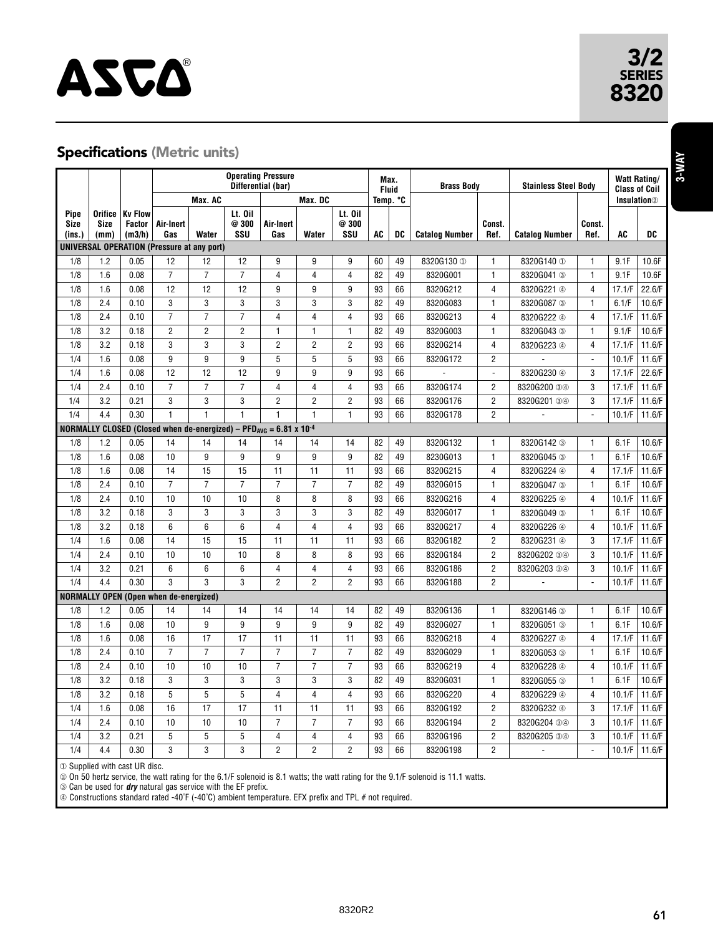# **ASCA**®

#### Specifications (Metric units)

|                                                                                         |                                |                                           | <b>Operating Pressure</b><br>Differential (bar)   |                 |                        |                  |                         |                         | Max.<br><b>Fluid</b> |    | <b>Brass Body</b>     |                | <b>Stainless Steel Body</b> |                | <b>Watt Rating/</b><br><b>Class of Coil</b> |        |
|-----------------------------------------------------------------------------------------|--------------------------------|-------------------------------------------|---------------------------------------------------|-----------------|------------------------|------------------|-------------------------|-------------------------|----------------------|----|-----------------------|----------------|-----------------------------|----------------|---------------------------------------------|--------|
|                                                                                         |                                |                                           |                                                   | Max. AC         |                        |                  | Max. DC                 |                         | Temp. °C             |    |                       |                |                             |                | <b>Insulation</b> <sup>2</sup>              |        |
| Pipe<br>Size<br>(ins.)                                                                  | Orifice<br><b>Size</b><br>(mm) | <b>Kv Flow</b><br><b>Factor</b><br>(m3/h) | Air-Inert<br>Gas                                  | Water           | Lt. Oil<br>@300<br>SSU | Air-Inert<br>Gas | Water                   | Lt. Oil<br>@ 300<br>SSU | <b>AC</b>            | DC | <b>Catalog Number</b> | Const.<br>Ref. | <b>Catalog Number</b>       | Const.<br>Ref. | <b>AC</b>                                   | DC     |
|                                                                                         |                                |                                           | <b>UNIVERSAL OPERATION (Pressure at any port)</b> |                 |                        |                  |                         |                         |                      |    |                       |                |                             |                |                                             |        |
| 1/8                                                                                     | 1.2                            | 0.05                                      | 12                                                | 12              | 12                     | 9                | 9                       | 9                       | 60                   | 49 | 8320G130 ①            | $\mathbf{1}$   | 8320G140 ①                  | $\mathbf{1}$   | 9.1F                                        | 10.6F  |
| 1/8                                                                                     | 1.6                            | 0.08                                      | $\overline{7}$                                    | $\overline{7}$  | $\overline{7}$         | 4                | 4                       | 4                       | 82                   | 49 | 8320G001              | 1              | 8320G041 3                  | $\mathbf{1}$   | 9.1F                                        | 10.6F  |
| 1/8                                                                                     | 1.6                            | 0.08                                      | 12                                                | $\overline{12}$ | $\overline{12}$        | 9                | 9                       | 9                       | 93                   | 66 | 8320G212              | $\overline{4}$ | 8320G221 4                  | $\overline{4}$ | 17.1/F                                      | 22.6/F |
| 1/8                                                                                     | 2.4                            | 0.10                                      | 3                                                 | 3               | 3                      | 3                | 3                       | 3                       | 82                   | 49 | 8320G083              | $\mathbf{1}$   | 8320G087 3                  | $\mathbf{1}$   | 6.1/F                                       | 10.6/F |
| 1/8                                                                                     | 2.4                            | 0.10                                      | $\overline{7}$                                    | $\overline{7}$  | $\overline{7}$         | 4                | 4                       | 4                       | 93                   | 66 | 8320G213              | $\overline{4}$ | 8320G222 4                  | $\overline{4}$ | 17.1/F                                      | 11.6/F |
| 1/8                                                                                     | 3.2                            | 0.18                                      | $\overline{2}$                                    | $\overline{2}$  | $\overline{c}$         | $\mathbf{1}$     | 1                       | $\mathbf{1}$            | 82                   | 49 | 8320G003              | $\mathbf{1}$   | 8320G043 3                  | $\mathbf{1}$   | 9.1/F                                       | 10.6/F |
| 1/8                                                                                     | 3.2                            | 0.18                                      | 3                                                 | 3               | 3                      | $\overline{2}$   | $\overline{2}$          | $\overline{2}$          | 93                   | 66 | 8320G214              | $\overline{4}$ | 8320G223 4                  | $\overline{4}$ | 17.1/F                                      | 11.6/F |
| 1/4                                                                                     | 1.6                            | 0.08                                      | 9                                                 | 9               | 9                      | 5                | 5                       | 5                       | 93                   | 66 | 8320G172              | $\overline{2}$ |                             | ÷,             | 10.1/F                                      | 11.6/F |
| 1/4                                                                                     | 1.6                            | 0.08                                      | 12                                                | 12              | 12                     | 9                | 9                       | 9                       | 93                   | 66 | Ĭ.                    | $\Box$         | 8320G230 4                  | 3              | 17.1/F                                      | 22.6/F |
| 1/4                                                                                     | 2.4                            | 0.10                                      | $\overline{7}$                                    | $\overline{7}$  | $\overline{7}$         | 4                | 4                       | 4                       | 93                   | 66 | 8320G174              | $\overline{2}$ | 8320G200 34                 | 3              | 17.1/F                                      | 11.6/F |
| 1/4                                                                                     | 3.2                            | 0.21                                      | 3                                                 | 3               | 3                      | 2                | $\overline{2}$          | $\overline{2}$          | 93                   | 66 | 8320G176              | $\overline{2}$ | 8320G201 34                 | 3              | 17.1/F                                      | 11.6/F |
| 1/4                                                                                     | 4.4                            | 0.30                                      | $\mathbf{1}$                                      | $\mathbf{1}$    | $\mathbf{1}$           | 1                | $\mathbf{1}$            | $\mathbf{1}$            | 93                   | 66 | 8320G178              | $\overline{2}$ |                             | ä,             | 10.1/F                                      | 11.6/F |
| NORMALLY CLOSED (Closed when de-energized) - PFD <sub>AVG</sub> = $6.81 \times 10^{-4}$ |                                |                                           |                                                   |                 |                        |                  |                         |                         |                      |    |                       |                |                             |                |                                             |        |
| 1/8                                                                                     | 1.2                            | 0.05                                      | 14                                                | 14              | 14                     | 14               | 14                      | 14                      | 82                   | 49 | 8320G132              | 1              | 8320G142 3                  | $\mathbf{1}$   | 6.1F                                        | 10.6/F |
| 1/8                                                                                     | 1.6                            | 0.08                                      | 10                                                | 9               | 9                      | 9                | 9                       | 9                       | 82                   | 49 | 8230G013              | $\mathbf{1}$   | 8320G045 3                  | $\mathbf{1}$   | 6.1F                                        | 10.6/F |
| 1/8                                                                                     | 1.6                            | 0.08                                      | 14                                                | 15              | 15                     | 11               | 11                      | 11                      | 93                   | 66 | 8320G215              | $\overline{4}$ | 8320G224 4                  | $\overline{4}$ | 17.1/F                                      | 11.6/F |
| 1/8                                                                                     | 2.4                            | 0.10                                      | $\overline{7}$                                    | $\overline{7}$  | $\overline{7}$         | $\overline{7}$   | $\overline{7}$          | $\overline{7}$          | 82                   | 49 | 8320G015              | $\mathbf{1}$   | 8320G047 3                  | $\mathbf{1}$   | 6.1F                                        | 10.6/F |
| 1/8                                                                                     | 2.4                            | 0.10                                      | 10                                                | 10              | 10                     | 8                | 8                       | 8                       | 93                   | 66 | 8320G216              | $\overline{4}$ | 8320G225 4                  | $\overline{4}$ | 10.1/F                                      | 11.6/F |
| 1/8                                                                                     | 3.2                            | 0.18                                      | 3                                                 | 3               | 3                      | 3                | 3                       | 3                       | 82                   | 49 | 8320G017              | $\mathbf{1}$   | 8320G049 3                  | $\mathbf{1}$   | 6.1F                                        | 10.6/F |
| 1/8                                                                                     | 3.2                            | 0.18                                      | 6                                                 | 6               | 6                      | 4                | $\overline{4}$          | $\overline{4}$          | 93                   | 66 | 8320G217              | $\overline{4}$ | 8320G226 4                  | $\overline{4}$ | 10.1/F                                      | 11.6/F |
| 1/4                                                                                     | 1.6                            | 0.08                                      | 14                                                | 15              | 15                     | 11               | 11                      | 11                      | 93                   | 66 | 8320G182              | $\overline{2}$ | 8320G231 4                  | 3              | 17.1/F                                      | 11.6/F |
| 1/4                                                                                     | 2.4                            | 0.10                                      | 10                                                | 10              | 10                     | 8                | 8                       | 8                       | 93                   | 66 | 8320G184              | $\overline{2}$ | 8320G202 34                 | 3              | 10.1/F                                      | 11.6/F |
| 1/4                                                                                     | 3.2                            | 0.21                                      | 6                                                 | 6               | 6                      | $\overline{4}$   | $\overline{4}$          | $\overline{4}$          | 93                   | 66 | 8320G186              | $\overline{2}$ | 8320G203 34                 | 3              | 10.1/F                                      | 11.6/F |
| 1/4                                                                                     | 4.4                            | 0.30                                      | 3                                                 | 3               | 3                      | $\overline{2}$   | $\overline{2}$          | $\overline{2}$          | 93                   | 66 | 8320G188              | $\overline{2}$ |                             | $\overline{a}$ | 10.1/F                                      | 11.6/F |
|                                                                                         |                                |                                           | <b>NORMALLY OPEN (Open when de-energized)</b>     |                 |                        |                  |                         |                         |                      |    |                       |                |                             |                |                                             |        |
| 1/8                                                                                     | 1.2                            | 0.05                                      | 14                                                | 14              | 14                     | 14               | 14                      | 14                      | 82                   | 49 | 8320G136              | $\mathbf{1}$   | 8320G146 3                  | $\mathbf{1}$   | 6.1F                                        | 10.6/F |
| 1/8                                                                                     | 1.6                            | 0.08                                      | 10                                                | 9               | 9                      | 9                | 9                       | 9                       | 82                   | 49 | 8320G027              | $\mathbf{1}$   | 8320G051 3                  | $\mathbf{1}$   | 6.1F                                        | 10.6/F |
| 1/8                                                                                     | 1.6                            | 0.08                                      | 16                                                | 17              | 17                     | 11               | 11                      | 11                      | 93                   | 66 | 8320G218              | $\overline{4}$ | 8320G227 4                  | $\overline{4}$ | 17.1/F                                      | 11.6/F |
| 1/8                                                                                     | 2.4                            | 0.10                                      | $\overline{7}$                                    | $\overline{7}$  | $\overline{7}$         | $\overline{7}$   | $\overline{7}$          | $\overline{7}$          | 82                   | 49 | 8320G029              | $\mathbf{1}$   | 8320G053 3                  | $\mathbf{1}$   | 6.1F                                        | 10.6/F |
| 1/8                                                                                     | 2.4                            | 0.10                                      | 10                                                | 10              | 10                     | 7                | $\overline{7}$          | $\overline{7}$          | 93                   | 66 | 8320G219              | 4              | 8320G228 4                  | 4              | 10.1/F                                      | 11.6/F |
| 1/8                                                                                     | 3.2                            | 0.18                                      | 3                                                 | 3               | 3                      | 3                | 3                       | 3                       | 82                   | 49 | 8320G031              | $\mathbf{1}$   | 8320G055 3                  | $\mathbf{1}$   | 6.1F                                        | 10.6/F |
| 1/8                                                                                     | 3.2                            | 0.18                                      | 5                                                 | 5               | 5                      | 4                | $\overline{\mathbf{4}}$ | $\overline{4}$          | 93                   | 66 | 8320G220              | $\overline{4}$ | 8320G229 4                  | $\overline{4}$ | 10.1/F                                      | 11.6/F |
| 1/4                                                                                     | 1.6                            | 0.08                                      | 16                                                | 17              | 17                     | 11               | 11                      | 11                      | 93                   | 66 | 8320G192              | $\overline{2}$ | 8320G232 4                  | 3              | 17.1/F                                      | 11.6/F |
| 1/4                                                                                     | 2.4                            | 0.10                                      | 10                                                | 10              | 10                     | 7                | $\overline{7}$          | $\overline{7}$          | 93                   | 66 | 8320G194              | $\overline{c}$ | 8320G204 34                 | 3              | 10.1/F                                      | 11.6/F |
| 1/4                                                                                     | 3.2                            | 0.21                                      | 5                                                 | 5               | 5                      | 4                | 4                       | 4                       | 93                   | 66 | 8320G196              | $\overline{2}$ | 8320G205 34                 | 3              | 10.1/F                                      | 11.6/F |
| 1/4                                                                                     | 4.4                            | 0.30                                      | 3                                                 | 3               | 3                      | $\overline{2}$   | $\overline{2}$          | $\overline{2}$          | 93                   | 66 | 8320G198              | $\overline{2}$ | ÷,                          | ÷,             | 10.1/F                                      | 11.6/F |

① Supplied with cast UR disc.

② On 50 hertz service, the watt rating for the 6.1/F solenoid is 8.1 watts; the watt rating for the 9.1/F solenoid is 11.1 watts.

➂ Can be used for **dry** natural gas service with the EF prefix.

➃ Constructions standard rated -40˚F (-40˚C) ambient temperature. EFX prefix and TPL # not required.

SERIES<br>8320